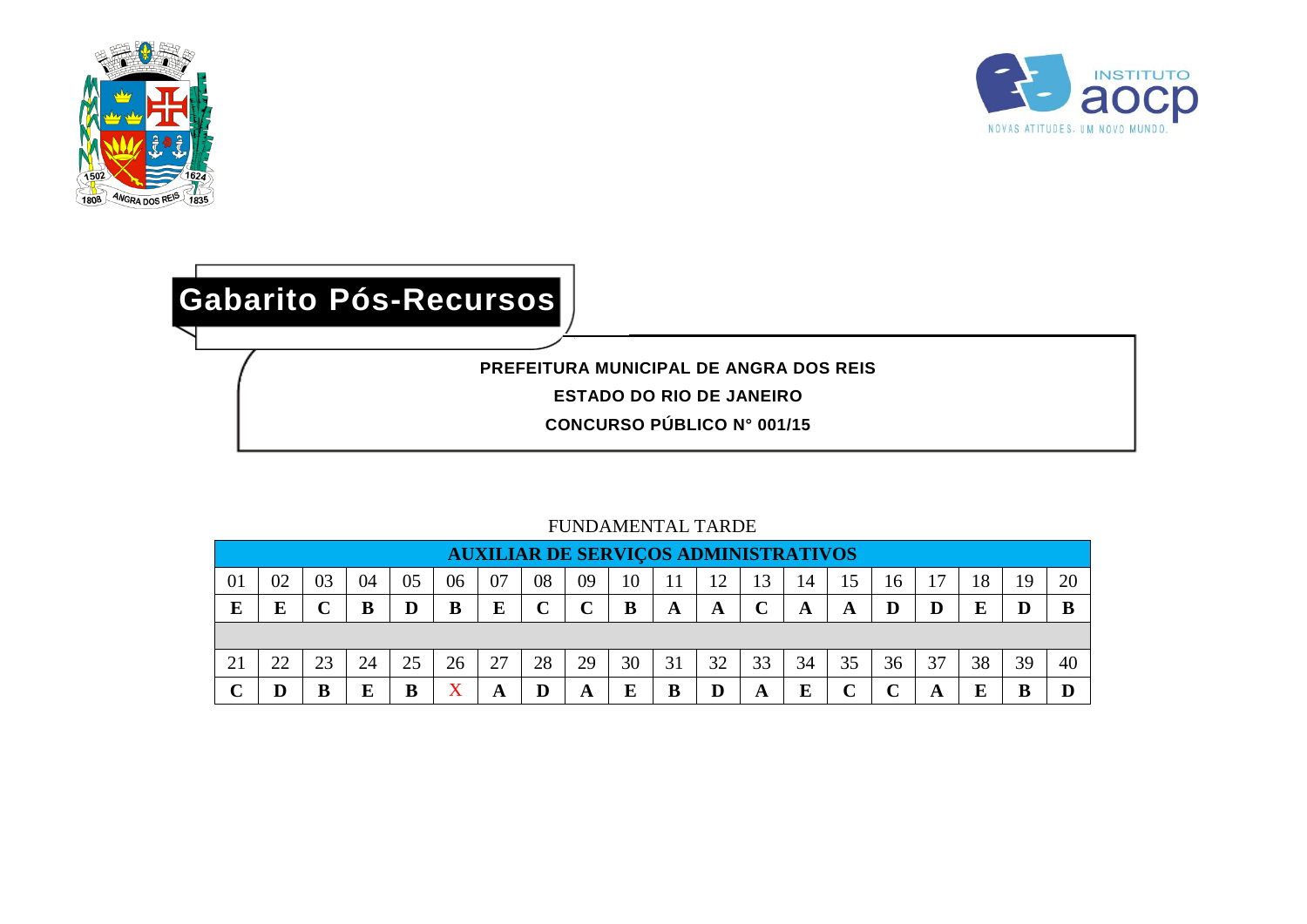



## **Gabarito Pós-Recursos**

**PREFEITURA MUNICIPAL DE ANGRA DOS REIS**

**ESTADO DO RIO DE JANEIRO**

**CONCURSO PÚBLICO N° 001/15**

|    |                                                                                                       |    |    |    |                   |    | <b>AUXILIAR DE SERVIÇOS ADMINISTRATIVOS</b> |    |    |    |    |    |    |             |    |                          |    |     |    |
|----|-------------------------------------------------------------------------------------------------------|----|----|----|-------------------|----|---------------------------------------------|----|----|----|----|----|----|-------------|----|--------------------------|----|-----|----|
| 01 | 02                                                                                                    | 03 | 04 | 05 | 06                | 07 | 08                                          | 09 | 10 |    |    | 13 | 14 | 15          | 16 | $\overline{\phantom{0}}$ | 18 | و ا | 20 |
| E  | $\mathbf C$<br>$\mathbf C$<br>E<br>B<br>E<br>B<br>B<br>Е<br>B<br>D<br>D<br>D<br>A<br>A<br>Α<br>A<br>ີ |    |    |    |                   |    |                                             |    |    |    |    |    |    |             |    |                          |    |     |    |
|    |                                                                                                       |    |    |    |                   |    |                                             |    |    |    |    |    |    |             |    |                          |    |     |    |
|    | 22                                                                                                    | 23 | 24 | 25 | 26                | 27 | 28                                          | 29 | 30 | 31 | 32 | 33 | 34 | 35          | 36 | 37                       | 38 | 39  | 40 |
|    |                                                                                                       |    |    |    | $\rm\overline{X}$ | A  | D                                           | A  | E  | B  |    | A  | E  | $\mathbf C$ |    | A                        |    |     |    |

## FUNDAMENTAL TARDE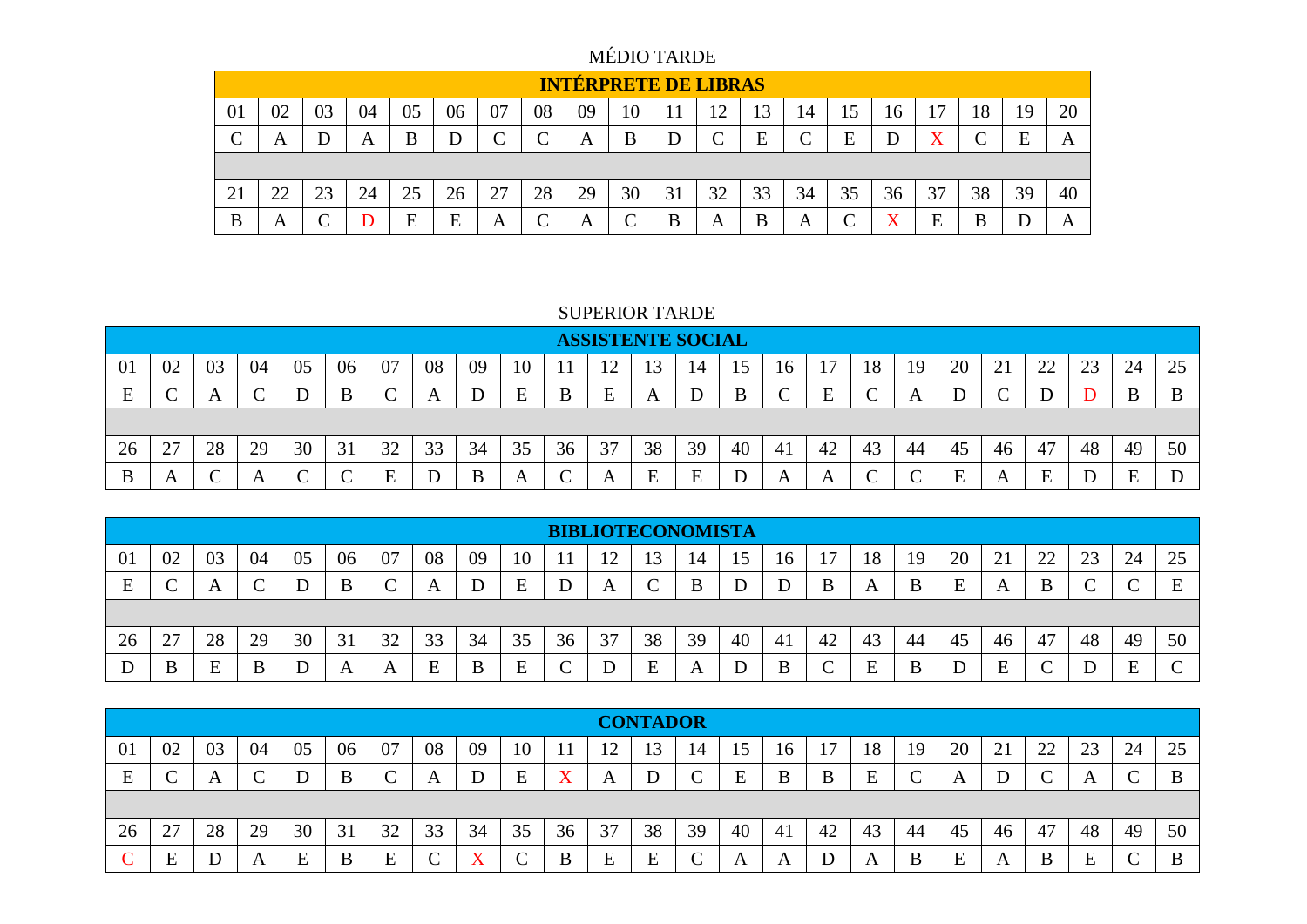MÉDIO TARDE

|    |         |    |    |        |    |                 |        |    | <b>INTÉRPRETE DE LIBRAS</b> |    |            |        |            |                 |    |                          |    |    |    |
|----|---------|----|----|--------|----|-----------------|--------|----|-----------------------------|----|------------|--------|------------|-----------------|----|--------------------------|----|----|----|
| 01 | 02      | 03 | 04 | 05     | 06 | 07              | 08     | 09 | 10                          |    | ∣າ<br>┸    | 13     | 14         | 15              | 16 | $\overline{\phantom{0}}$ | 18 | 19 | 20 |
| ◡  | A       |    | A  | B      | D  | $\sqrt{ }$<br>◡ | ⌒      | A  | Β                           |    | $\sqrt{ }$ | F<br>∸ | $\sqrt{ }$ | E               |    | $\mathbf{v}$             |    | E  | A  |
|    |         |    |    |        |    |                 |        |    |                             |    |            |        |            |                 |    |                          |    |    |    |
| 21 | ററ<br>⊷ | 23 | 24 | 25     | 26 | 27              | 28     | 29 | 30                          | 31 | 32         | 33     | 34         | 35              | 36 | 37                       | 38 | 39 | 40 |
| B  | А       |    |    | F<br>ப | E  | A               | ⌒<br>◡ | A  |                             | В  | A          | B      | A          | $\sqrt{2}$<br>◡ | X  | E                        | B  |    | A  |

## SUPERIOR TARDE

|                |              |    |    |    |        |        |             |    |    |    | <b>ASSISTENTE SOCIAL</b> |          |    |    |              |    |            |    |          |                   |                      |                      |    |    |
|----------------|--------------|----|----|----|--------|--------|-------------|----|----|----|--------------------------|----------|----|----|--------------|----|------------|----|----------|-------------------|----------------------|----------------------|----|----|
| $\overline{0}$ | 02           | 03 | 04 | 05 | 06     | 07     | 08          | 09 | 10 |    |                          |          | 14 |    | 16           |    | 18         | 19 | 20       | $\bigcap$ 1<br>∠⊥ | $\gamma\gamma$<br>∠∠ | 2 <sup>2</sup><br>23 | 24 | 25 |
| F              |              |    |    |    | B      |        | A           |    | E  | B  | E                        | A        |    |    |              |    |            |    |          |                   |                      |                      | B  |    |
|                |              |    |    |    |        |        |             |    |    |    |                          |          |    |    |              |    |            |    |          |                   |                      |                      |    |    |
| 26             | 27           | 28 | 29 | 30 | 31     | 32     | 33          | 34 | 35 | 36 | 37                       | 38       | 39 | 40 | 41           | 42 | 43         | 44 | 45       | 46                | 47                   | 48                   | 49 | 50 |
| B              | $\mathbf{A}$ |    |    |    | $\sim$ | Е<br>∸ | $\mathbf D$ | B  | A  | ◡  | $\overline{ }$           | F<br>نلا | E  |    | $\mathbf{A}$ |    | $\sqrt{ }$ |    | E<br>نلا |                   | E                    |                      | E  |    |

|    |        |    |    |    |    |    |         |    |    |    |           |        | <b>BIBLIOTECONOMISTA</b> |    |    |    |    |    |    |        |        |    |    |    |
|----|--------|----|----|----|----|----|---------|----|----|----|-----------|--------|--------------------------|----|----|----|----|----|----|--------|--------|----|----|----|
| 01 | 02     | 03 | 04 | 05 | 06 | 07 | 08      | 09 | 10 |    | 1 ೧<br>∸∸ | 13     | 14                       |    | 16 |    | 18 | 19 | 20 | 21     | 22     | 23 | 24 | 25 |
| E  | $\sim$ | A  |    |    | B  |    | A       |    | E  |    | A         |        |                          |    |    |    | A  |    | E  | A      | B      |    |    | ᠇  |
|    |        |    |    |    |    |    |         |    |    |    |           |        |                          |    |    |    |    |    |    |        |        |    |    |    |
| 26 | 27     | 28 | 29 | 30 | 31 | 32 | 33      | 34 | 35 | 36 | 37        | 38     | 39                       | 40 | 41 | 42 | 43 | 44 | 45 | 46     | 47     | 48 | 49 | 50 |
|    | B      |    | B  |    |    | A  | Е<br>دا | B  | E  |    |           | ┳<br>∸ | A                        |    | B  |    |    |    |    | ┳<br>н | $\sim$ |    | −  |    |

|    |    |          |            |    |    |    |    |    |    |    |    | <b>CONTADOR</b> |                         |                  |    |    |    |    |        |                |                     |    |             |                    |
|----|----|----------|------------|----|----|----|----|----|----|----|----|-----------------|-------------------------|------------------|----|----|----|----|--------|----------------|---------------------|----|-------------|--------------------|
| 01 | 02 | 03       | 04         | 05 | 06 | 07 | 08 | 09 | 10 |    | ∸  |                 | 14                      |                  | 10 |    | 18 | 19 | 20     | 21<br>$\sim$ 1 | $\mathcal{D}$<br>44 | 23 | 24          | 25                 |
| E  |    | $\Gamma$ | $\sqrt{ }$ |    | B  |    | A  | D  | E  |    | A  |                 | $\curvearrowright$<br>◡ | F<br>ப           | B  |    | E  |    |        |                |                     | A  | $\sqrt{ }$  | $\mathbf{R}$<br>ָט |
|    |    |          |            |    |    |    |    |    |    |    |    |                 |                         |                  |    |    |    |    |        |                |                     |    |             |                    |
| 26 | 27 | 28       | 29         | 30 | 31 | 32 | 33 | 34 | 35 | 36 | 37 | 38              | 39                      | 40               | 41 | 42 | 43 | 44 | 45     | 46             | 47                  | 48 | 49          | 50                 |
|    | E  |          | A          |    | B  |    |    |    | ◡  | B  | E  | E               | ⌒<br>◡                  | $\boldsymbol{A}$ | A  |    | A  | B  | -<br>c |                | B                   | E  | $\sim$<br>◡ | B                  |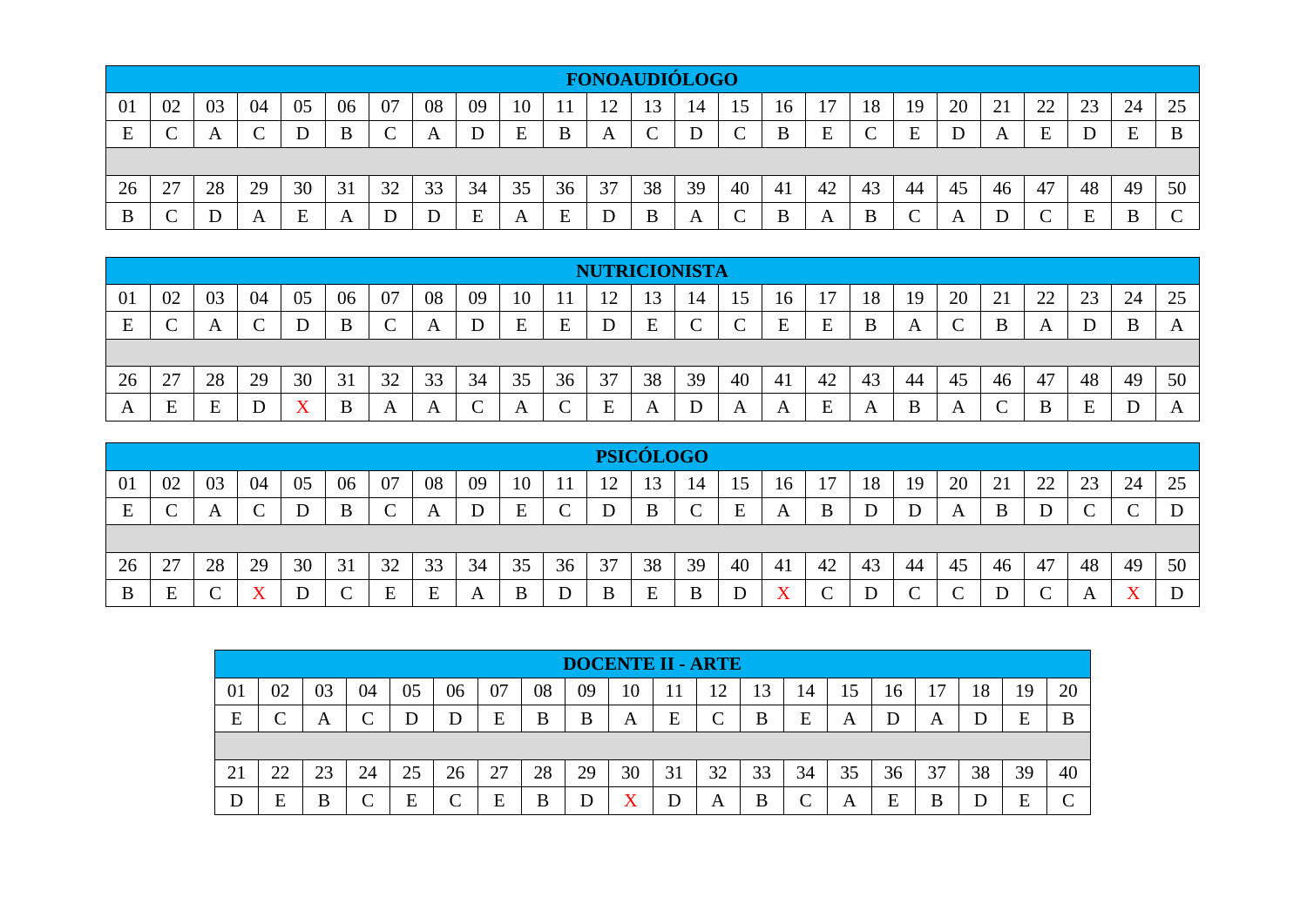|    |                                                                                              |    |    |    |    |    |    |    |    |    | <b>FONOAUDIÓLOGO</b> |    |    |    |    |    |    |    |    |    |                     |    |    |    |
|----|----------------------------------------------------------------------------------------------|----|----|----|----|----|----|----|----|----|----------------------|----|----|----|----|----|----|----|----|----|---------------------|----|----|----|
| 01 | 02                                                                                           | 03 | 04 | 05 | 06 | 07 | 08 | 09 | 10 |    | 1 <sub>2</sub>       |    | 14 | 15 | 16 |    | 18 | 19 | 20 | 21 | $\mathcal{D}$<br>∠∠ | 23 | 24 | 25 |
| E  | E<br>$\mathcal{C}$<br>B<br>$\sqrt{2}$<br>E<br>⌒<br>E<br>E<br>B<br>E<br>B<br>A<br>A<br>◡<br>◡ |    |    |    |    |    |    |    |    |    |                      |    |    |    |    |    |    |    |    |    |                     |    |    |    |
|    |                                                                                              |    |    |    |    |    |    |    |    |    |                      |    |    |    |    |    |    |    |    |    |                     |    |    |    |
| 26 | 27                                                                                           | 28 | 29 | 30 | 31 | 32 | 33 | 34 | 35 | 36 | 37                   | 38 | 39 | 40 | 41 | 42 | 43 | 44 | 45 | 46 | 47                  | 48 | 49 | 50 |
| B  |                                                                                              |    | A  | Ε  | A  |    |    | E  | A  |    | D                    | B  | A  |    | B  | A  | B  |    | A  |    | $\sqrt{ }$          | E  | B  |    |

|                |    |    |            |    |    |    |    |    |    |    | <b>NUTRICIONISTA</b> |    |                 |    |    |    |              |    |          |    |                  |                     |    |    |
|----------------|----|----|------------|----|----|----|----|----|----|----|----------------------|----|-----------------|----|----|----|--------------|----|----------|----|------------------|---------------------|----|----|
| $\overline{0}$ | 02 | 03 | 04         | 05 | 06 | 07 | 08 | 09 | 10 |    | ר ו                  | -2 | $\overline{14}$ | 15 | 16 |    | 18           | 19 | 20       | ∠⊥ | $\gamma$<br>∠∠   | $2^{\circ}$         | 24 | 25 |
| E              | ◡  |    | $\sqrt{ }$ |    | B  |    | A  | D  | E  | Ε  |                      | E  | ◡               |    | E  | E  | B            | A  | $\Gamma$ |    | $\blacktriangle$ |                     | B  |    |
|                |    |    |            |    |    |    |    |    |    |    |                      |    |                 |    |    |    |              |    |          |    |                  |                     |    |    |
| 26             | 27 | 28 | 29         | 30 | 31 | 32 | 33 | 34 | 35 | 36 | 37                   | 38 | 39              | 40 | 41 | 42 | 43           | 44 | 45       | 46 | 47               | 48                  | 49 | 50 |
| A              | E  | F  |            |    | B  |    | A  |    | A  |    | F<br>نلا             |    |                 |    | A  | ᠇  | $\mathbf{A}$ |    | A        |    | B                | $\blacksquare$<br>E |    |    |

|    |                 |    |    |    |            |    |    |    |    |    |     | <b>PSICÓLOGO</b> |               |    |                |    |    |    |        |    |            |    |    |    |
|----|-----------------|----|----|----|------------|----|----|----|----|----|-----|------------------|---------------|----|----------------|----|----|----|--------|----|------------|----|----|----|
| 01 | 02              | 03 | 04 | 05 | 06         | 07 | 08 | 09 | 10 |    | ר ו | 13               | 14            |    | 16             |    | 18 | 19 | 20     | 21 | 22         | 23 | 24 | 25 |
| E  | $\sqrt{ }$<br>╰ | A  |    |    | B          |    | A  |    | E  |    |     | В                | $\Gamma$<br>◡ | E  | A              | В  |    |    | A      | B  | D          |    |    |    |
|    |                 |    |    |    |            |    |    |    |    |    |     |                  |               |    |                |    |    |    |        |    |            |    |    |    |
| 26 | 27              | 28 | 29 | 30 | 31         | 32 | 33 | 34 | 35 | 36 | 37  | 38               | 39            | 40 | 4 <sub>1</sub> | 42 | 43 | 44 | 45     | 46 | 47         | 48 | 49 | 50 |
| B  | E               |    |    |    | $\sqrt{ }$ | F  | E  |    | B  |    | B   |                  | B             |    | $\mathbf{x}$   |    |    |    | $\sim$ |    | $\sqrt{ }$ |    |    |    |

|    |             |    |    |        |            |    |    |    | <b>DOCENTE II - ARTE</b> |    |    |    |                 |    |    |    |    |        |    |
|----|-------------|----|----|--------|------------|----|----|----|--------------------------|----|----|----|-----------------|----|----|----|----|--------|----|
| 01 | 02          | 03 | 04 | 05     | 06         | 07 | 08 | 09 | 10                       |    | ി  | 13 | 14              | 15 | 16 | ٠7 | 18 | 19     | 20 |
| E  | $\sim$<br>◡ | Α  |    |        |            | E  | B  | B  | A                        | E  |    | B  | E               | A  |    | A  |    | F      | B  |
|    |             |    |    |        |            |    |    |    |                          |    |    |    |                 |    |    |    |    |        |    |
| 21 | つつ<br>∸     | 23 | 24 | 25     | 26         | 27 | 28 | 29 | 30                       | 31 | 32 | 33 | 34              | 35 | 36 | 37 | 38 | 39     | 40 |
| D  | F<br>ப      | B  |    | Е<br>∸ | $\sqrt{2}$ | E  | B  |    | Δ                        |    | A  | B  | $\sqrt{ }$<br>◡ | A  | E  | B  |    | −<br>ட | ⌒  |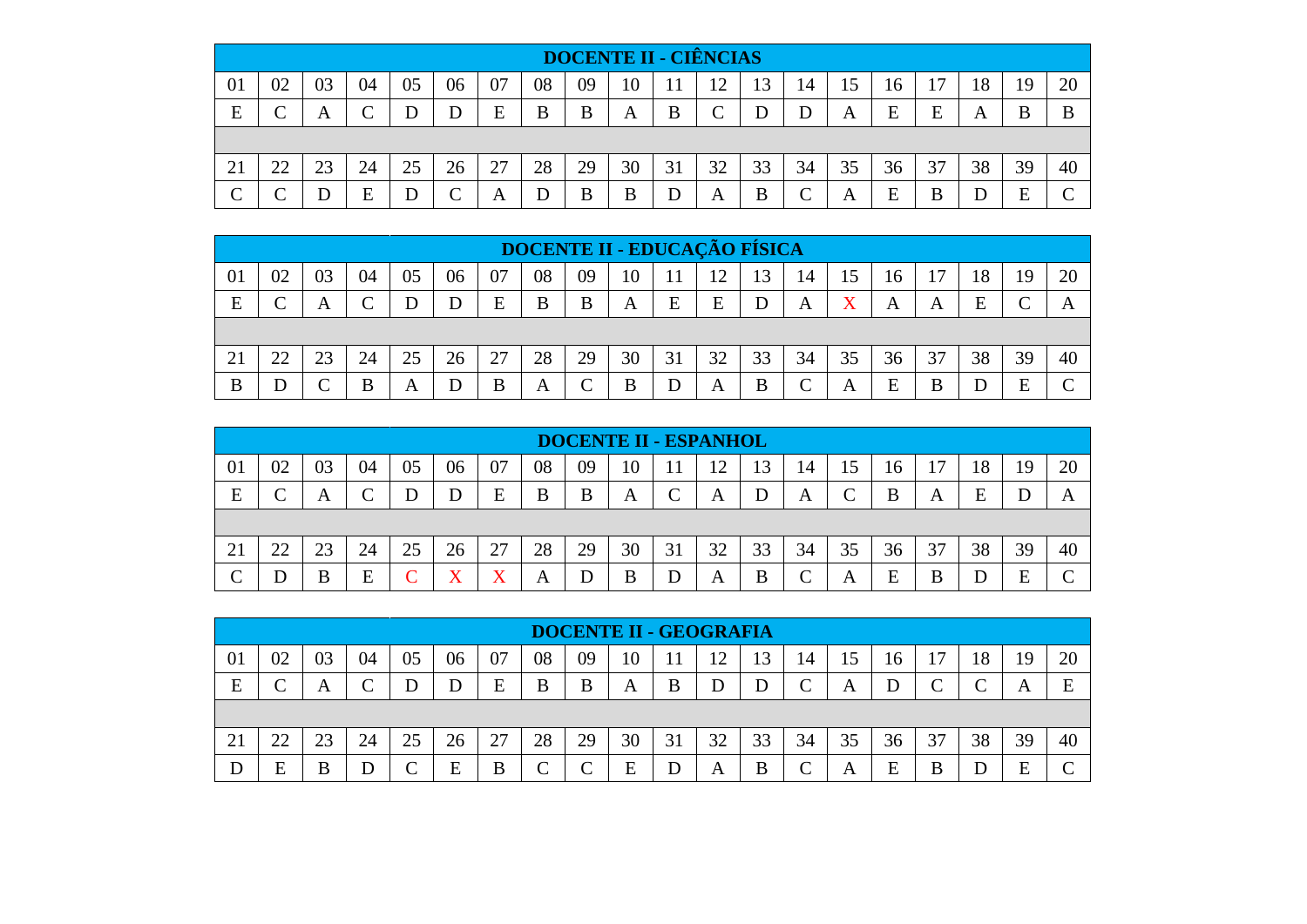|    |    |    |    |    |          |    |    |    | <b>DOCENTE II - CIÊNCIAS</b> |    |    |    |    |    |    |    |    |    |    |
|----|----|----|----|----|----------|----|----|----|------------------------------|----|----|----|----|----|----|----|----|----|----|
| 01 | 02 | 03 | 04 | 05 | 06       | 07 | 08 | 09 | 10                           |    |    | 13 | 14 | 15 | 16 | 17 | 18 | 19 | 20 |
| E  |    | A  |    |    | D        | E  | B  | B  | A                            | B  | ⌒  |    | D  | A  | E  | E  | A  | B  | B  |
|    |    |    |    |    |          |    |    |    |                              |    |    |    |    |    |    |    |    |    |    |
| 21 | 22 | 23 | 24 | 25 | 26       | 27 | 28 | 29 | 30                           | 31 | 32 | 33 | 34 | 35 | 36 | 37 | 38 | 39 | 40 |
| ⌒  |    |    | E  |    | $\Gamma$ | A  | D  | B  | B                            |    | A  | B  | ⌒  | A  | E  | B  |    | E  |    |

|    |               |    |    |    |    |    |    |        | <b>DOCENTE II - EDUCAÇÃO FÍSICA</b> |              |    |    |            |                       |    |    |    |    |              |
|----|---------------|----|----|----|----|----|----|--------|-------------------------------------|--------------|----|----|------------|-----------------------|----|----|----|----|--------------|
| 01 | 02            | 03 | 04 | 05 | 06 | 07 | 08 | 09     | 10                                  | $\mathbf{1}$ |    | 13 | 14         | 15                    | 16 | 17 | 18 | 19 | 20           |
| E  | U             | A  |    |    |    | E  | B  | B      | A                                   | E            | E  |    | А          | $\overline{\text{X}}$ | А  | A  | E  |    | $\mathbf{A}$ |
|    |               |    |    |    |    |    |    |        |                                     |              |    |    |            |                       |    |    |    |    |              |
| 21 | $\mathcal{D}$ | 23 | 24 | 25 | 26 | 27 | 28 | 29     | 30                                  | 31           | 32 | 33 | 34         | 35                    | 36 | 37 | 38 | 39 | 40           |
| B  |               |    | R  | А  |    | B  | A  | $\sim$ | В                                   | D            | А  | B  | $\sqrt{ }$ | А                     | E  | В  |    | F  |              |

|    |    |    |    |    |             |                       |    |    | <b>DOCENTE II - ESPANHOL</b> |    |    |    |    |    |                |        |    |    |
|----|----|----|----|----|-------------|-----------------------|----|----|------------------------------|----|----|----|----|----|----------------|--------|----|----|
| 01 | 02 | 03 | J4 | 05 | 06          | 07                    | 08 | 09 | 10                           |    | 13 | 14 | 15 | 16 | $\overline{ }$ | 18     | ۰Q | 20 |
| E  |    | A  |    |    | D           | E                     | B  | B  | A                            | A  |    | A  |    | B  | A              | −<br>E |    | A  |
|    |    |    |    |    |             |                       |    |    |                              |    |    |    |    |    |                |        |    |    |
| 21 | 22 | 23 | 24 | 25 | 26          | 27                    | 28 | 29 | 30                           | 32 | 33 | 34 | 35 | 36 | 37             | 38     | 39 | 40 |
|    |    | В  | E  |    | $\mathbf v$ | $\overline{\text{X}}$ | А  |    | B                            | A  | B  |    | A  | F  | В              |        | F  |    |

|    | <b>DOCENTE II - GEOGRAFIA</b> |    |    |    |    |    |        |             |    |    |    |    |            |    |    |    |    |    |    |
|----|-------------------------------|----|----|----|----|----|--------|-------------|----|----|----|----|------------|----|----|----|----|----|----|
| 01 | 02                            | 03 | 04 | 05 | 06 | 07 | 08     | 09          | 10 |    | ∠  | 13 | 14         | 15 | 16 | 17 | 18 | 19 | 20 |
| E  |                               | A  |    |    | D  | E  | B      | B           | A  | B  |    |    | $\sqrt{ }$ | А  |    |    |    | A  | F  |
|    |                               |    |    |    |    |    |        |             |    |    |    |    |            |    |    |    |    |    |    |
| 21 | 22                            | 23 | 24 | 25 | 26 | 27 | 28     | 29          | 30 | 31 | 32 | 33 | 34         | 35 | 36 | 37 | 38 | 39 | 40 |
|    | E                             | B  |    |    | E  | B  | $\sim$ | $\sim$<br>v | E  |    | A  | B  | ⌒          | A  | E  | B  |    | E  |    |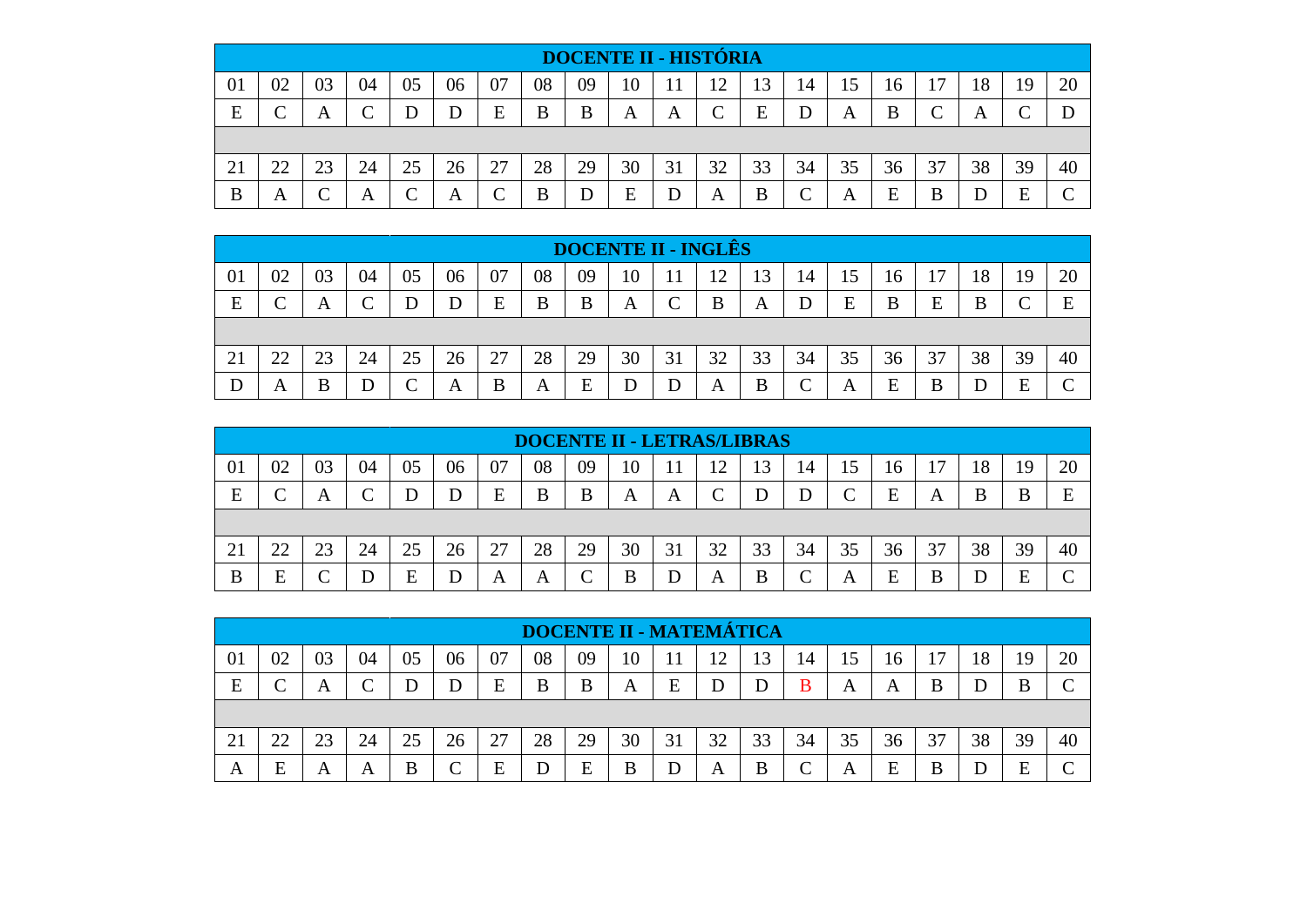|    | <b>DOCENTE II - HISTÓRIA</b> |    |    |    |    |                 |    |    |    |    |    |    |                 |    |    |    |    |    |    |
|----|------------------------------|----|----|----|----|-----------------|----|----|----|----|----|----|-----------------|----|----|----|----|----|----|
| 01 | 02                           | 03 | 04 | 05 | 06 | 07              | 08 | 09 | 10 |    | 12 | 13 | 14              | 15 | 16 | 17 | 18 | 19 | 20 |
| E  |                              | A  |    | D  | D  | E               | B  | B  | A  | Α  | ⌒  | E  | D               | A  | B  |    | A  |    |    |
|    |                              |    |    |    |    |                 |    |    |    |    |    |    |                 |    |    |    |    |    |    |
| 21 | 22                           | 23 | 24 | 25 | 26 | 27              | 28 | 29 | 30 | 31 | 32 | 33 | 34              | 35 | 36 | 37 | 38 | 39 | 40 |
| B  | A                            |    | A  |    | A  | $\sqrt{ }$<br>◡ | B  | D  | E  |    | A  | B  | $\sqrt{ }$<br>◡ | A  | E  | B  |    | E  |    |

|    | <b>DOCENTE II - INGLÊS</b> |    |    |    |    |    |    |    |    |        |    |    |                    |    |    |    |    |    |    |
|----|----------------------------|----|----|----|----|----|----|----|----|--------|----|----|--------------------|----|----|----|----|----|----|
| 01 | 02                         | 03 | 04 | 05 | 06 | 07 | 08 | 09 | 10 |        | ے  | 13 | 14                 | 15 | 16 | 17 | 18 | 19 | 20 |
| E  | $\sim$                     | А  |    |    |    | E  | B  | B  | A  | $\sim$ | B  | A  |                    | E  | B  | E  | B  |    | E  |
|    |                            |    |    |    |    |    |    |    |    |        |    |    |                    |    |    |    |    |    |    |
| 21 | つつ                         | 23 | 24 | 25 | 26 | 27 | 28 | 29 | 30 | 31     | 32 | 33 | 34                 | 35 | 36 | 37 | 38 | 39 | 40 |
| D  | A                          | B  |    |    | A  | B  | A  | E  |    |        | А  | B  | $\curvearrowright$ | A  | E  | B  |    | F  |    |

|    | <b>DOCENTE II - LETRAS/LIBRAS</b> |    |     |    |    |    |    |        |    |    |    |    |            |                    |    |                |    |    |    |
|----|-----------------------------------|----|-----|----|----|----|----|--------|----|----|----|----|------------|--------------------|----|----------------|----|----|----|
| 01 | 02                                | 03 | 4١. | 05 | 06 | 07 | 08 | 09     | 10 |    |    | 13 | 14         | 15                 | 16 | $\overline{ }$ | 8  | Q  | 20 |
| E  |                                   | A  |     | D  | D  | Ε  | B  | B      | A  | A  |    |    |            | $\curvearrowright$ | E  | А              | В  | В  | E  |
|    |                                   |    |     |    |    |    |    |        |    |    |    |    |            |                    |    |                |    |    |    |
| 21 | つつ                                | 23 | 24  | 25 | 26 | 27 | 28 | 29     | 30 | 31 | 32 | 33 | 34         | 35                 | 36 | 37             | 38 | 39 | 40 |
| B  | F                                 |    |     | F  | D  | A  | A  | $\sim$ | B  |    | А  | B  | $\sqrt{ }$ | A                  | F  | В              |    | F  |    |

|    | <b>DOCENTE II - MATEMÁTICA</b> |    |    |    |          |    |    |    |    |    |    |    |    |    |    |    |    |    |    |
|----|--------------------------------|----|----|----|----------|----|----|----|----|----|----|----|----|----|----|----|----|----|----|
| 01 | 02                             | 03 | 04 | 05 | 06       | 07 | 08 | 09 | 10 |    |    | 13 | 14 | 15 | 16 | 17 | 18 | 19 | 20 |
| E  |                                | A  |    |    | D        | E  | B  | B  | A  | E  |    |    | B  | A  | A  | B  |    | В  |    |
|    |                                |    |    |    |          |    |    |    |    |    |    |    |    |    |    |    |    |    |    |
| 21 | 22                             | 23 | 24 | 25 | 26       | 27 | 28 | 29 | 30 | 31 | 32 | 33 | 34 | 35 | 36 | 37 | 38 | 39 | 40 |
| A  | E                              | A  | A  | B  | $\Gamma$ | E  | D  | E  | B  |    | A  | B  | ⌒  | A  | E  | B  |    | E  |    |